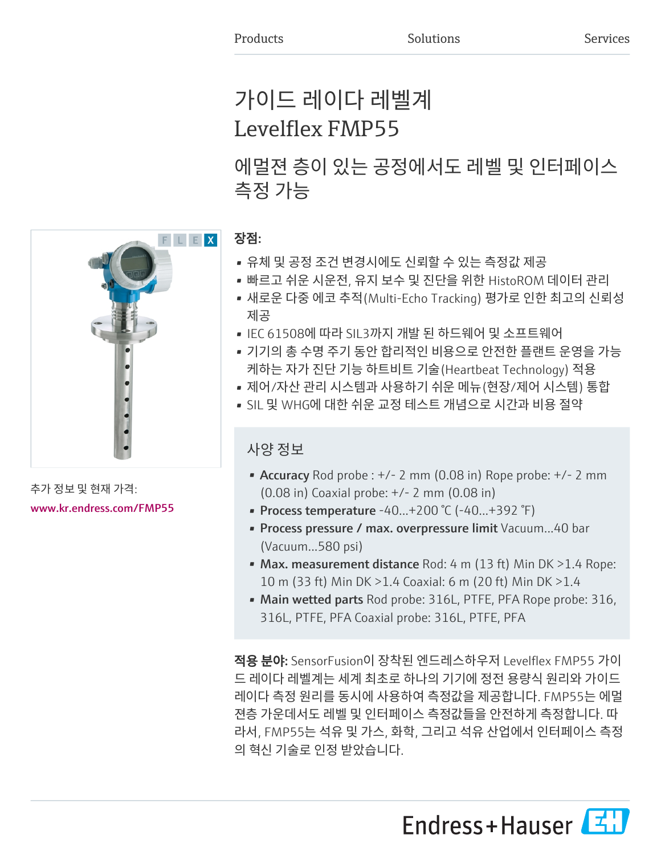# 가이드 레이다 레벨계 Levelflex FMP55

에멀젼 층이 있는 공정에서도 레벨 및 인터페이스 측정 가능



추가 정보 및 현재 가격: [www.kr.endress.com/FMP55](https://www.kr.endress.com/FMP55)

## 장점:

- 유체 및 공정 조건 변경시에도 신뢰할 수 있는 측정값 제공
- 빠르고 쉬운 시운전, 유지 보수 및 진단을 위한 HistoROM 데이터 관리
- 새로운 다중 에코 추적(Multi-Echo Tracking) 평가로 인한 최고의 신뢰성 제공
- IEC 61508에 따라 SIL3까지 개발 된 하드웨어 및 소프트웨어
- 기기의 총 수명 주기 동안 합리적인 비용으로 안전한 플랜트 운영을 가능 케하는 자가 진단 기능 하트비트 기술(Heartbeat Technology) 적용
- 제어/자산 관리 시스템과 사용하기 쉬운 메뉴(현장/제어 시스템) 통합
- SIL 및 WHG에 대한 쉬운 교정 테스트 개념으로 시간과 비용 절약

## 사양 정보

- Accuracy Rod probe :  $+/- 2$  mm (0.08 in) Rope probe:  $+/- 2$  mm (0.08 in) Coaxial probe: +/- 2 mm (0.08 in)
- Process temperature -40...+200 °C (-40...+392 °F)
- Process pressure / max. overpressure limit Vacuum...40 bar (Vacuum...580 psi)
- Max. measurement distance Rod: 4 m (13 ft) Min DK > 1.4 Rope: 10 m (33 ft) Min DK >1.4 Coaxial: 6 m (20 ft) Min DK >1.4
- Main wetted parts Rod probe: 316L, PTFE, PFA Rope probe: 316, 316L, PTFE, PFA Coaxial probe: 316L, PTFE, PFA

적용 분야: SensorFusion이 장착된 엔드레스하우저 Levelflex FMP55 가이 드 레이다 레벨계는 세계 최초로 하나의 기기에 정전 용량식 원리와 가이드 레이다 측정 원리를 동시에 사용하여 측정값을 제공합니다. FMP55는 에멀 젼층 가운데서도 레벨 및 인터페이스 측정값들을 안전하게 측정합니다. 따 라서, FMP55는 석유 및 가스, 화학, 그리고 석유 산업에서 인터페이스 측정 의 혁신 기술로 인정 받았습니다.

Endress+Hauser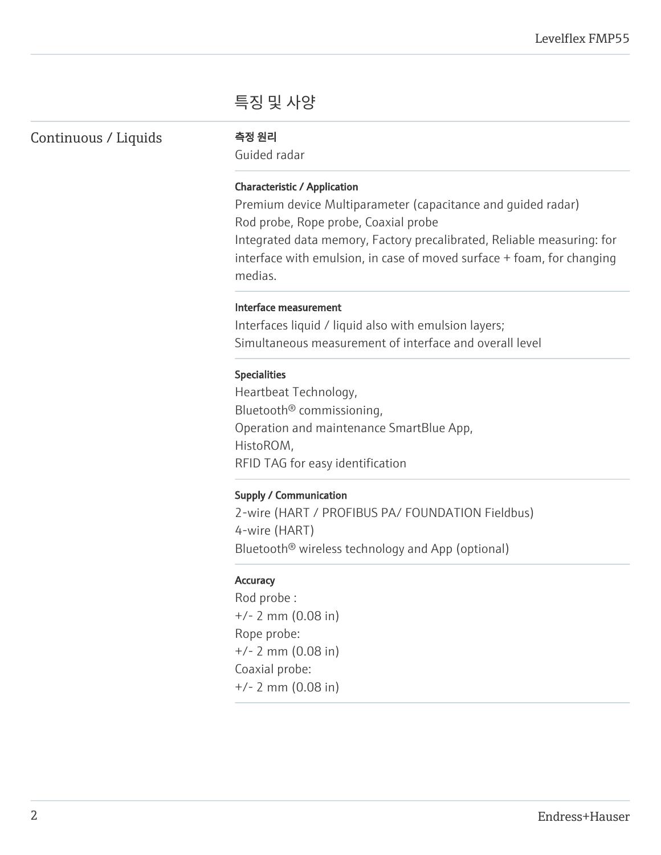## 특징 및 사양

Continuous / Liquids 측정 원리

Guided radar

### Characteristic / Application

Premium device Multiparameter (capacitance and guided radar) Rod probe, Rope probe, Coaxial probe Integrated data memory, Factory precalibrated, Reliable measuring: for interface with emulsion, in case of moved surface + foam, for changing medias.

#### Interface measurement

Interfaces liquid / liquid also with emulsion layers; Simultaneous measurement of interface and overall level

#### Specialities

Heartbeat Technology, Bluetooth® commissioning, Operation and maintenance SmartBlue App, HistoROM, RFID TAG for easy identification

#### Supply / Communication

2-wire (HART / PROFIBUS PA/ FOUNDATION Fieldbus) 4-wire (HART) Bluetooth® wireless technology and App (optional)

#### **Accuracy**

Rod probe : +/- 2 mm (0.08 in) Rope probe: +/- 2 mm (0.08 in) Coaxial probe: +/- 2 mm (0.08 in)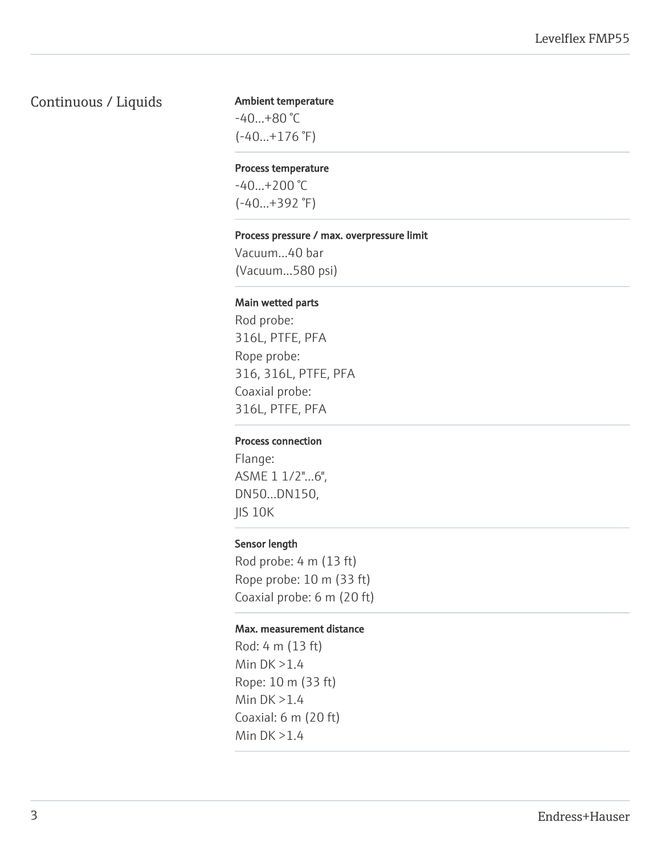## Continuous / Liquids

#### Ambient temperature

-40...+80 °C  $(-40...+176$ °F)

#### Process temperature

 $-40...+200$  °C (-40...+392 °F)

#### Process pressure / max. overpressure limit

Vacuum...40 bar (Vacuum...580 psi)

#### Main wetted parts

Rod probe: 316L, PTFE, PFA Rope probe: 316, 316L, PTFE, PFA Coaxial probe: 316L, PTFE, PFA

#### Process connection

Flange: ASME 1 1/2"...6", DN50...DN150, JIS 10K

#### Sensor length

Rod probe: 4 m (13 ft) Rope probe: 10 m (33 ft) Coaxial probe: 6 m (20 ft)

#### Max. measurement distance

Rod: 4 m (13 ft) Min DK >1.4 Rope: 10 m (33 ft) Min DK >1.4 Coaxial: 6 m (20 ft) Min DK >1.4